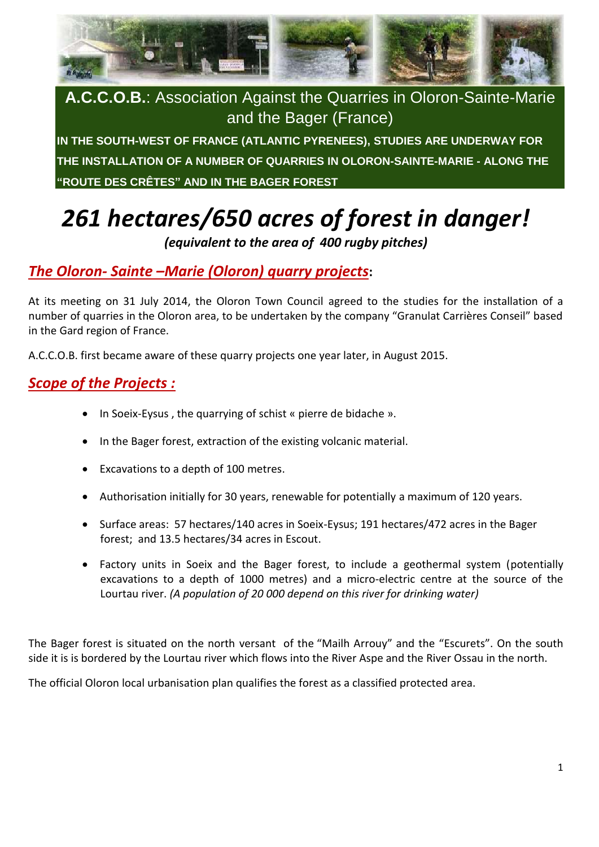

**A.C.C.O.B.**: Association Against the Quarries in Oloron-Sainte-Marie and the Bager (France)

**IN THE SOUTH-WEST OF FRANCE (ATLANTIC PYRENEES), STUDIES ARE UNDERWAY FOR THE INSTALLATION OF A NUMBER OF QUARRIES IN OLORON-SAINTE-MARIE - ALONG THE "ROUTE DES CRÊTES" AND IN THE BAGER FOREST** 

# *261 hectares/650 acres of forest in danger!*

*(equivalent to the area of 400 rugby pitches)*

# *The Oloron- Sainte –Marie (Oloron) quarry projects***:**

At its meeting on 31 July 2014, the Oloron Town Council agreed to the studies for the installation of a number of quarries in the Oloron area, to be undertaken by the company "Granulat Carrières Conseil" based in the Gard region of France.

A.C.C.O.B. first became aware of these quarry projects one year later, in August 2015.

# *Scope of the Projects :*

- In Soeix-Eysus , the quarrying of schist « pierre de bidache ».
- In the Bager forest, extraction of the existing volcanic material.
- Excavations to a depth of 100 metres.
- Authorisation initially for 30 years, renewable for potentially a maximum of 120 years.
- Surface areas: 57 hectares/140 acres in Soeix-Eysus; 191 hectares/472 acres in the Bager forest; and 13.5 hectares/34 acres in Escout.
- Factory units in Soeix and the Bager forest, to include a geothermal system (potentially excavations to a depth of 1000 metres) and a micro-electric centre at the source of the Lourtau river. *(A population of 20 000 depend on this river for drinking water)*

The Bager forest is situated on the north versant of the "Mailh Arrouy" and the "Escurets". On the south side it is is bordered by the Lourtau river which flows into the River Aspe and the River Ossau in the north.

The official Oloron local urbanisation plan qualifies the forest as a classified protected area.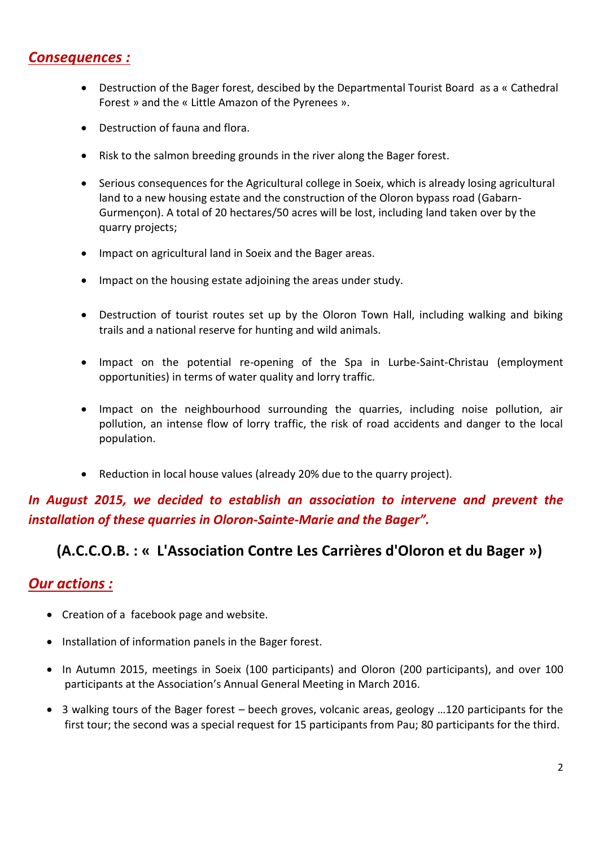#### *Consequences :*

- Destruction of the Bager forest, descibed by the Departmental Tourist Board as a « Cathedral Forest » and the « Little Amazon of the Pyrenees ».
- Destruction of fauna and flora.
- Risk to the salmon breeding grounds in the river along the Bager forest.
- Serious consequences for the Agricultural college in Soeix, which is already losing agricultural land to a new housing estate and the construction of the Oloron bypass road (Gabarn-Gurmençon). A total of 20 hectares/50 acres will be lost, including land taken over by the quarry projects;
- Impact on agricultural land in Soeix and the Bager areas.
- Impact on the housing estate adjoining the areas under study.
- Destruction of tourist routes set up by the Oloron Town Hall, including walking and biking trails and a national reserve for hunting and wild animals.
- Impact on the potential re-opening of the Spa in Lurbe-Saint-Christau (employment opportunities) in terms of water quality and lorry traffic.
- Impact on the neighbourhood surrounding the quarries, including noise pollution, air pollution, an intense flow of lorry traffic, the risk of road accidents and danger to the local population.
- Reduction in local house values (already 20% due to the quarry project).

## *In August 2015, we decided to establish an association to intervene and prevent the installation of these quarries in Oloron-Sainte-Marie and the Bager".*

## **(A.C.C.O.B. : « L'Association Contre Les Carrières d'Oloron et du Bager »)**

#### *Our actions :*

- Creation of a facebook page and website.
- Installation of information panels in the Bager forest.
- In Autumn 2015, meetings in Soeix (100 participants) and Oloron (200 participants), and over 100 participants at the Association's Annual General Meeting in March 2016.
- 3 walking tours of the Bager forest beech groves, volcanic areas, geology …120 participants for the first tour; the second was a special request for 15 participants from Pau; 80 participants for the third.